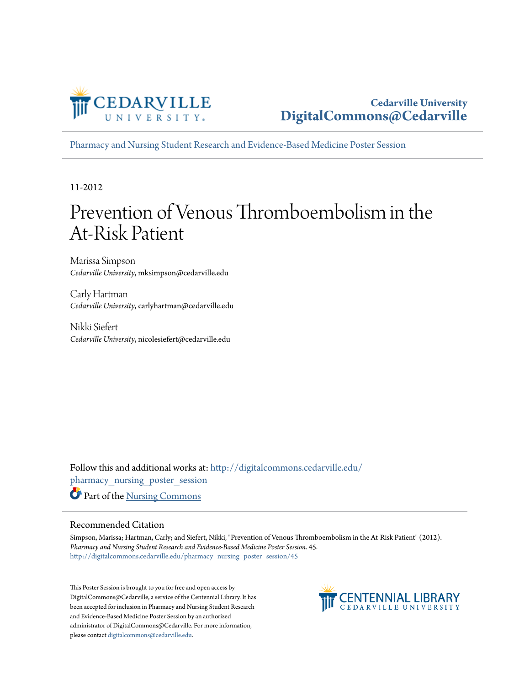

[Pharmacy and Nursing Student Research and Evidence-Based Medicine Poster Session](http://digitalcommons.cedarville.edu/pharmacy_nursing_poster_session?utm_source=digitalcommons.cedarville.edu%2Fpharmacy_nursing_poster_session%2F45&utm_medium=PDF&utm_campaign=PDFCoverPages)

11-2012

#### Prevention of Venous Thromboembolism in the At-Risk Patient

Marissa Simpson *Cedarville University*, mksimpson@cedarville.edu

Carly Hartman *Cedarville University*, carlyhartman@cedarville.edu

Nikki Siefert *Cedarville University*, nicolesiefert@cedarville.edu

Follow this and additional works at: [http://digitalcommons.cedarville.edu/](http://digitalcommons.cedarville.edu/pharmacy_nursing_poster_session?utm_source=digitalcommons.cedarville.edu%2Fpharmacy_nursing_poster_session%2F45&utm_medium=PDF&utm_campaign=PDFCoverPages) [pharmacy\\_nursing\\_poster\\_session](http://digitalcommons.cedarville.edu/pharmacy_nursing_poster_session?utm_source=digitalcommons.cedarville.edu%2Fpharmacy_nursing_poster_session%2F45&utm_medium=PDF&utm_campaign=PDFCoverPages) Part of the [Nursing Commons](http://network.bepress.com/hgg/discipline/718?utm_source=digitalcommons.cedarville.edu%2Fpharmacy_nursing_poster_session%2F45&utm_medium=PDF&utm_campaign=PDFCoverPages)

#### Recommended Citation

Simpson, Marissa; Hartman, Carly; and Siefert, Nikki, "Prevention of Venous Thromboembolism in the At-Risk Patient" (2012). *Pharmacy and Nursing Student Research and Evidence-Based Medicine Poster Session*. 45. [http://digitalcommons.cedarville.edu/pharmacy\\_nursing\\_poster\\_session/45](http://digitalcommons.cedarville.edu/pharmacy_nursing_poster_session/45?utm_source=digitalcommons.cedarville.edu%2Fpharmacy_nursing_poster_session%2F45&utm_medium=PDF&utm_campaign=PDFCoverPages)

This Poster Session is brought to you for free and open access by DigitalCommons@Cedarville, a service of the Centennial Library. It has been accepted for inclusion in Pharmacy and Nursing Student Research and Evidence-Based Medicine Poster Session by an authorized administrator of DigitalCommons@Cedarville. For more information, please contact [digitalcommons@cedarville.edu.](mailto:digitalcommons@cedarville.edu)